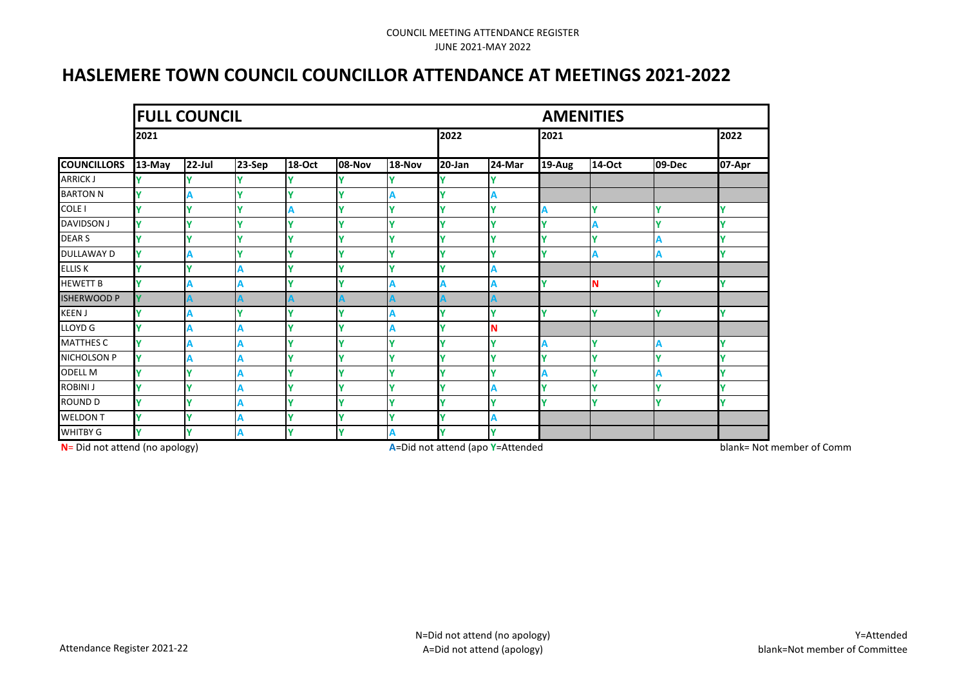# **HASLEMERE TOWN COUNCIL COUNCILLOR ATTENDANCE AT MEETINGS 2021-2022**

|                    |        | <b>FULL COUNCIL</b> |        |               |             |             | <b>AMENITIES</b> |             |        |          |        |        |
|--------------------|--------|---------------------|--------|---------------|-------------|-------------|------------------|-------------|--------|----------|--------|--------|
|                    | 2021   |                     |        |               |             |             |                  | 2022        |        | 2021     |        |        |
| <b>COUNCILLORS</b> | 13-May | $22$ -Jul           | 23-Sep | <b>18-Oct</b> | 08-Nov      | 18-Nov      | $20$ -Jan        | 24-Mar      | 19-Aug | 14-Oct   | 09-Dec | 07-Apr |
| ARRICK J           |        |                     |        |               |             |             |                  |             |        |          |        |        |
| <b>BARTON N</b>    | ٧      | A                   | v      | v             | v           | A           | ۷                | A           |        |          |        |        |
| COLE I             |        | v                   | Ÿ      | А             | v           | Ÿ           |                  | v           |        |          |        | Υ      |
| DAVIDSON J         | ٧      | $\mathbf{v}$        | v      | v             | v           | $\mathbf v$ | v                | $\mathbf v$ |        |          |        | ٧      |
| DEAR <sub>S</sub>  |        |                     | v      |               |             | v           |                  |             |        |          |        | ٧      |
| DULLAWAY D         | ٧      | А                   | Y      | v             | v           | Y           |                  | v           |        | A        |        | Υ      |
| ELLIS K            |        | $\checkmark$        | А      |               | v           | v           |                  | A           |        |          |        |        |
| <b>HEWETT B</b>    | v      |                     |        |               | v           | А           |                  |             |        | <b>N</b> |        | Ϋ      |
| <b>ISHERWOOD P</b> |        |                     |        |               |             |             |                  |             |        |          |        |        |
| KEEN J             |        | A                   | ۷      | v             | v           | A           |                  | $\mathbf v$ |        | Y        |        | Ý      |
| LLOYD G            |        |                     | А      |               | v           | А           |                  |             |        |          |        |        |
| MATTHES C          |        |                     | А      |               |             | V           |                  | $\mathbf v$ |        |          |        | Ÿ      |
| NICHOLSON P        | Y      | Α                   | А      | v             | v           | Y           | v                | $\mathbf v$ |        | ٧        |        | Υ      |
| ODELL M            |        | v                   | А      | v             | v           | Y           |                  | v           |        | ٧        |        | Υ      |
| ROBINI J           |        | $\mathbf{v}$        |        | v             | v           | Y           |                  |             |        | v        |        | Ϋ      |
| ROUND D            |        | v                   | А      |               | v           | $\mathbf v$ |                  | v           |        | v        |        | Ϋ      |
| WELDON T           | v      | v                   |        | v             | v           | Y           | v                | A           |        |          |        |        |
| WHITBY G           | v      | $\mathbf v$         |        | v             | $\mathbf v$ | Α           | v                | $\mathbf v$ |        |          |        |        |

**N**= Did not attend (no apology) **A**=Did not attend (apoly=Attended blank= Not member of Committees of Committees and the Not member of Committees and the Not member of Committees and the Not member of Committees and the N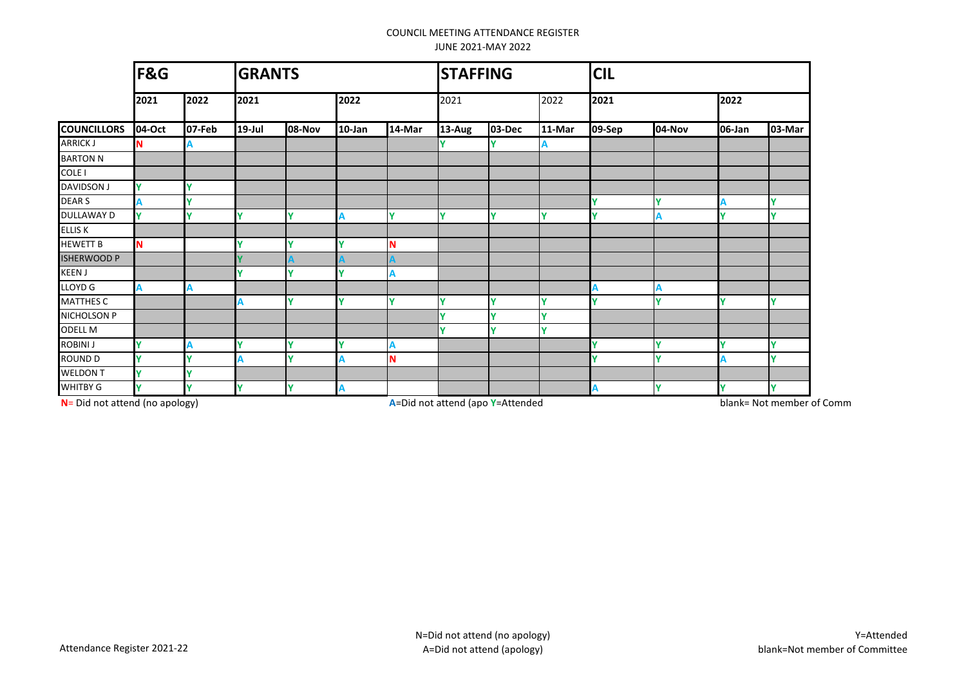|                    | F&G    |        | <b>GRANTS</b> |        |           |        | <b>STAFFING</b> |        |        | <b>CIL</b> |        |        |             |
|--------------------|--------|--------|---------------|--------|-----------|--------|-----------------|--------|--------|------------|--------|--------|-------------|
|                    | 2021   | 2022   | 2021          |        | 2022      |        | 2021            |        | 2022   | 2021       |        | 2022   |             |
| <b>COUNCILLORS</b> | 04-Oct | 07-Feb | $19$ -Jul     | 08-Nov | $10$ -Jan | 14-Mar | 13-Aug          | 03-Dec | 11-Mar | 09-Sep     | 04-Nov | 06-Jan | 03-Mar      |
| <b>ARRICK J</b>    | N      |        |               |        |           |        |                 |        |        |            |        |        |             |
| <b>BARTON N</b>    |        |        |               |        |           |        |                 |        |        |            |        |        |             |
| <b>COLE I</b>      |        |        |               |        |           |        |                 |        |        |            |        |        |             |
| <b>DAVIDSON J</b>  |        |        |               |        |           |        |                 |        |        |            |        |        |             |
| <b>DEARS</b>       |        |        |               |        |           |        |                 |        |        |            |        |        | Y           |
| <b>DULLAWAY D</b>  |        |        |               |        |           |        |                 |        |        |            |        |        | $\mathbf v$ |
| <b>ELLIS K</b>     |        |        |               |        |           |        |                 |        |        |            |        |        |             |
| <b>HEWETT B</b>    | N      |        |               |        |           |        |                 |        |        |            |        |        |             |
| <b>ISHERWOOD P</b> |        |        |               |        |           |        |                 |        |        |            |        |        |             |
| <b>KEEN J</b>      |        |        |               |        |           |        |                 |        |        |            |        |        |             |
| <b>LLOYD G</b>     |        |        |               |        |           |        |                 |        |        |            |        |        |             |
| <b>MATTHES C</b>   |        |        | А             |        |           |        |                 | ۷      |        |            |        |        | v           |
| NICHOLSON P        |        |        |               |        |           |        | v               |        |        |            |        |        |             |
| <b>ODELL M</b>     |        |        |               |        |           |        |                 |        |        |            |        |        |             |
| <b>ROBINI J</b>    |        |        |               |        |           |        |                 |        |        |            |        |        | $\mathbf v$ |
| <b>ROUND D</b>     |        | v      |               | v      |           |        |                 |        |        | v          |        |        | $\mathbf v$ |
| <b>WELDON T</b>    |        |        |               |        |           |        |                 |        |        |            |        |        |             |
| WHITBY G           |        |        |               | ۷      |           |        |                 |        |        |            | v      |        | Y           |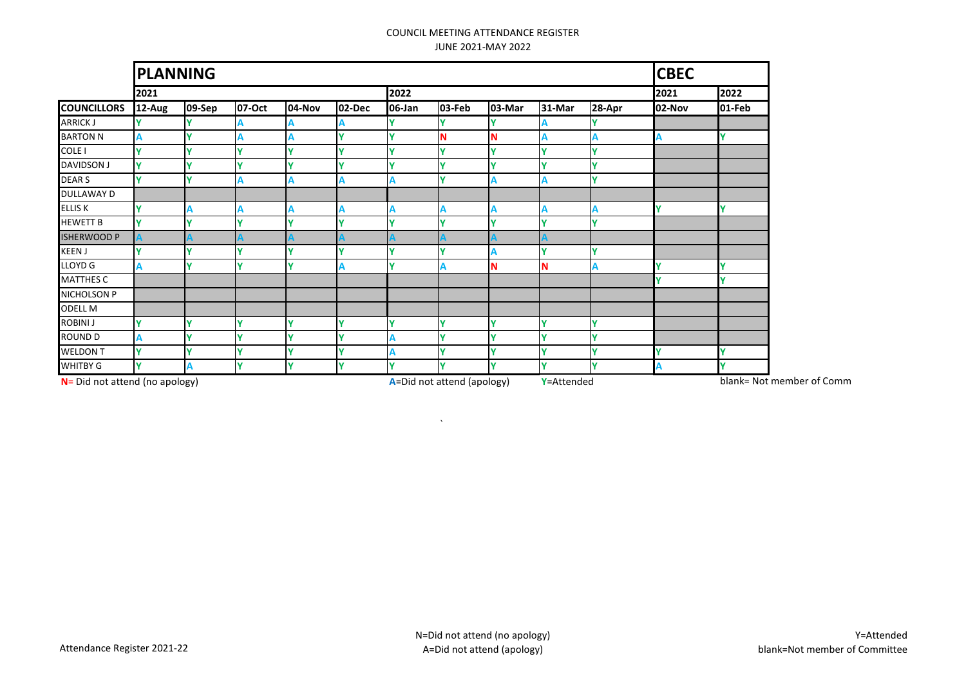|                                   |        | <b>PLANNING</b> |        |        |              |        |                            |        |            |        |                           |        |
|-----------------------------------|--------|-----------------|--------|--------|--------------|--------|----------------------------|--------|------------|--------|---------------------------|--------|
|                                   | 2021   |                 |        |        |              | 2022   |                            |        |            |        | 2021                      | 2022   |
| <b>COUNCILLORS</b>                | 12-Aug | 09-Sep          | 07-Oct | 04-Nov | 02-Dec       | 06-Jan | 03-Feb                     | 03-Mar | 31-Mar     | 28-Apr | 02-Nov                    | 01-Feb |
| <b>ARRICK J</b>                   |        |                 |        |        |              |        |                            |        |            |        |                           |        |
| <b>BARTON N</b>                   |        |                 |        |        |              |        | N                          |        |            |        |                           |        |
| COLE I                            |        |                 |        |        |              |        |                            |        |            |        |                           |        |
| <b>DAVIDSON J</b>                 |        |                 |        |        |              |        |                            |        |            |        |                           |        |
| <b>DEARS</b>                      |        |                 |        |        |              |        |                            |        |            |        |                           |        |
| DULLAWAY D                        |        |                 |        |        |              |        |                            |        |            |        |                           |        |
| <b>ELLIS K</b>                    |        |                 |        |        |              |        |                            |        |            |        |                           | v      |
| <b>HEWETT B</b>                   |        |                 |        |        |              |        |                            |        |            |        |                           |        |
| <b>ISHERWOOD P</b>                |        |                 |        |        |              |        |                            |        |            |        |                           |        |
| <b>KEEN J</b>                     |        |                 |        |        |              |        |                            |        |            |        |                           |        |
| $LLOYD$ <sup>G</sup>              |        |                 |        |        |              |        |                            |        |            |        |                           |        |
| <b>MATTHES C</b>                  |        |                 |        |        |              |        |                            |        |            |        |                           |        |
| NICHOLSON P                       |        |                 |        |        |              |        |                            |        |            |        |                           |        |
| <b>ODELL M</b>                    |        |                 |        |        |              |        |                            |        |            |        |                           |        |
| <b>ROBINI J</b>                   |        |                 |        |        |              |        |                            |        |            |        |                           |        |
| <b>ROUND D</b>                    |        |                 |        |        |              |        |                            |        |            |        |                           |        |
| <b>WELDON T</b>                   | v      |                 |        |        | $\mathbf{v}$ |        |                            |        |            |        |                           |        |
| WHITBY G                          |        |                 |        |        | v            |        |                            |        |            |        |                           | v      |
| $N =$ Did not attend (no apology) |        |                 |        |        |              |        | A=Did not attend (apology) |        | Y=Attended |        | blank= Not member of Comm |        |

 $\Delta$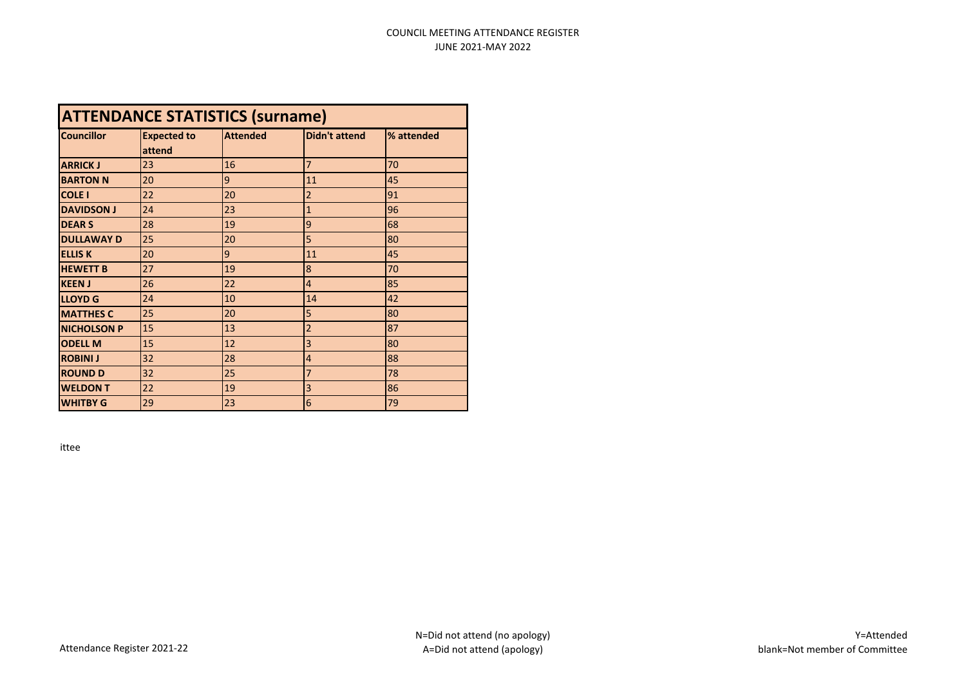| <b>ATTENDANCE STATISTICS (surname)</b> |                              |                 |                      |            |  |  |  |  |  |
|----------------------------------------|------------------------------|-----------------|----------------------|------------|--|--|--|--|--|
| <b>Councillor</b>                      | <b>Expected to</b><br>attend | <b>Attended</b> | <b>Didn't attend</b> | % attended |  |  |  |  |  |
| <b>ARRICK J</b>                        | 23                           | 16              | 7                    | 70         |  |  |  |  |  |
| <b>BARTON N</b>                        | 20                           | 9               | 11                   | 45         |  |  |  |  |  |
| <b>COLE I</b>                          | 22                           | 20              | $\overline{2}$       | 91         |  |  |  |  |  |
| <b>DAVIDSON J</b>                      | 24                           | 23              | 1                    | 96         |  |  |  |  |  |
| <b>DEARS</b>                           | 28                           | 19              | 9                    | 68         |  |  |  |  |  |
| <b>DULLAWAY D</b>                      | 25                           | 20              | 5                    | 80         |  |  |  |  |  |
| <b>ELLIS K</b>                         | 20                           | 9               | 11                   | 45         |  |  |  |  |  |
| <b>HEWETT B</b>                        | 27                           | 19              | 8                    | 70         |  |  |  |  |  |
| <b>KEEN J</b>                          | 26                           | 22              | $\overline{4}$       | 85         |  |  |  |  |  |
| <b>LLOYD G</b>                         | 24                           | 10              | 14                   | 42         |  |  |  |  |  |
| <b>MATTHES C</b>                       | 25                           | 20              | 5                    | 80         |  |  |  |  |  |
| <b>NICHOLSON P</b>                     | 15                           | 13              | $\overline{2}$       | 87         |  |  |  |  |  |
| <b>ODELL M</b>                         | 15                           | 12              | 3                    | 80         |  |  |  |  |  |
| <b>ROBINI J</b>                        | 32                           | 28              | 4                    | 88         |  |  |  |  |  |
| <b>ROUND D</b>                         | 32                           | 25              | 7                    | 78         |  |  |  |  |  |
| <b>WELDON T</b>                        | 22                           | 19              | 3                    | 86         |  |  |  |  |  |
| <b>WHITBY G</b>                        | 29                           | 23              | $6\overline{6}$      | 79         |  |  |  |  |  |

ittee